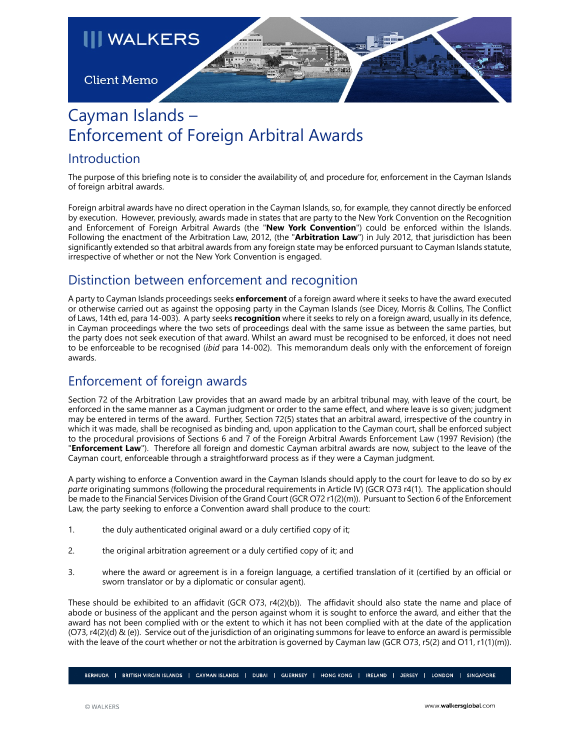

# Cayman Islands – Enforcement of Foreign Arbitral Awards

### Introduction

The purpose of this briefing note is to consider the availability of, and procedure for, enforcement in the Cayman Islands of foreign arbitral awards.

Foreign arbitral awards have no direct operation in the Cayman Islands, so, for example, they cannot directly be enforced by execution. However, previously, awards made in states that are party to the New York Convention on the Recognition and Enforcement of Foreign Arbitral Awards (the "**New York Convention**") could be enforced within the Islands. Following the enactment of the Arbitration Law, 2012, (the "**Arbitration Law**") in July 2012, that jurisdiction has been significantly extended so that arbitral awards from any foreign state may be enforced pursuant to Cayman Islands statute, irrespective of whether or not the New York Convention is engaged.

# Distinction between enforcement and recognition

A party to Cayman Islands proceedings seeks **enforcement** of a foreign award where it seeks to have the award executed or otherwise carried out as against the opposing party in the Cayman Islands (see Dicey, Morris & Collins, The Conflict of Laws, 14th ed, para 14-003). A party seeks **recognition** where it seeks to rely on a foreign award, usually in its defence, in Cayman proceedings where the two sets of proceedings deal with the same issue as between the same parties, but the party does not seek execution of that award. Whilst an award must be recognised to be enforced, it does not need to be enforceable to be recognised (*ibid* para 14-002). This memorandum deals only with the enforcement of foreign awards.

## Enforcement of foreign awards

Section 72 of the Arbitration Law provides that an award made by an arbitral tribunal may, with leave of the court, be enforced in the same manner as a Cayman judgment or order to the same effect, and where leave is so given; judgment may be entered in terms of the award. Further, Section 72(5) states that an arbitral award, irrespective of the country in which it was made, shall be recognised as binding and, upon application to the Cayman court, shall be enforced subject to the procedural provisions of Sections 6 and 7 of the Foreign Arbitral Awards Enforcement Law (1997 Revision) (the "**Enforcement Law**"). Therefore all foreign and domestic Cayman arbitral awards are now, subject to the leave of the Cayman court, enforceable through a straightforward process as if they were a Cayman judgment.

A party wishing to enforce a Convention award in the Cayman Islands should apply to the court for leave to do so by *ex parte* originating summons (following the procedural requirements in Article IV) (GCR O73 r4(1). The application should be made to the Financial Services Division of the Grand Court (GCR O72 r1(2)(m)). Pursuant to Section 6 of the Enforcement Law, the party seeking to enforce a Convention award shall produce to the court:

- 1. the duly authenticated original award or a duly certified copy of it;
- 2. the original arbitration agreement or a duly certified copy of it; and
- 3. where the award or agreement is in a foreign language, a certified translation of it (certified by an official or sworn translator or by a diplomatic or consular agent).

These should be exhibited to an affidavit (GCR O73, r4(2)(b)). The affidavit should also state the name and place of abode or business of the applicant and the person against whom it is sought to enforce the award, and either that the award has not been complied with or the extent to which it has not been complied with at the date of the application (O73, r4(2)(d) & (e)). Service out of the jurisdiction of an originating summons for leave to enforce an award is permissible with the leave of the court whether or not the arbitration is governed by Cayman law (GCR O73, r5(2) and O11, r1(1)(m)).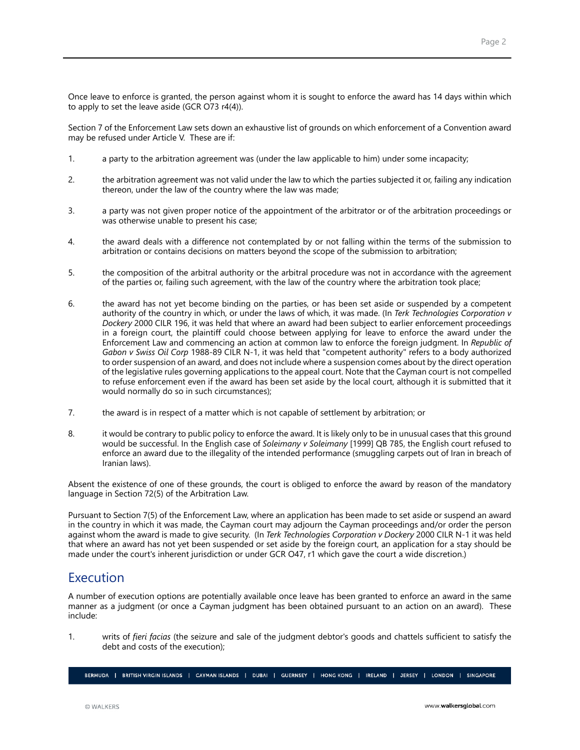Once leave to enforce is granted, the person against whom it is sought to enforce the award has 14 days within which to apply to set the leave aside (GCR O73 r4(4)).

Section 7 of the Enforcement Law sets down an exhaustive list of grounds on which enforcement of a Convention award may be refused under Article V. These are if:

- 1. a party to the arbitration agreement was (under the law applicable to him) under some incapacity;
- 2. the arbitration agreement was not valid under the law to which the parties subjected it or, failing any indication thereon, under the law of the country where the law was made;
- 3. a party was not given proper notice of the appointment of the arbitrator or of the arbitration proceedings or was otherwise unable to present his case;
- 4. the award deals with a difference not contemplated by or not falling within the terms of the submission to arbitration or contains decisions on matters beyond the scope of the submission to arbitration;
- 5. the composition of the arbitral authority or the arbitral procedure was not in accordance with the agreement of the parties or, failing such agreement, with the law of the country where the arbitration took place;
- 6. the award has not yet become binding on the parties, or has been set aside or suspended by a competent authority of the country in which, or under the laws of which, it was made. (In *Terk Technologies Corporation v Dockery* 2000 CILR 196, it was held that where an award had been subject to earlier enforcement proceedings in a foreign court, the plaintiff could choose between applying for leave to enforce the award under the Enforcement Law and commencing an action at common law to enforce the foreign judgment. In *Republic of Gabon v Swiss Oil Corp* 1988-89 CILR N-1, it was held that "competent authority" refers to a body authorized to order suspension of an award, and does not include where a suspension comes about by the direct operation of the legislative rules governing applications to the appeal court. Note that the Cayman court is not compelled to refuse enforcement even if the award has been set aside by the local court, although it is submitted that it would normally do so in such circumstances);
- 7. the award is in respect of a matter which is not capable of settlement by arbitration; or
- 8. it would be contrary to public policy to enforce the award. It is likely only to be in unusual cases that this ground would be successful. In the English case of *Soleimany v Soleimany* [1999] QB 785, the English court refused to enforce an award due to the illegality of the intended performance (smuggling carpets out of Iran in breach of Iranian laws).

Absent the existence of one of these grounds, the court is obliged to enforce the award by reason of the mandatory language in Section 72(5) of the Arbitration Law.

Pursuant to Section 7(5) of the Enforcement Law, where an application has been made to set aside or suspend an award in the country in which it was made, the Cayman court may adjourn the Cayman proceedings and/or order the person against whom the award is made to give security. (In *Terk Technologies Corporation v Dockery* 2000 CILR N-1 it was held that where an award has not yet been suspended or set aside by the foreign court, an application for a stay should be made under the court's inherent jurisdiction or under GCR O47, r1 which gave the court a wide discretion.)

#### Execution

A number of execution options are potentially available once leave has been granted to enforce an award in the same manner as a judgment (or once a Cayman judgment has been obtained pursuant to an action on an award). These include:

1. writs of *fieri facias* (the seizure and sale of the judgment debtor's goods and chattels sufficient to satisfy the debt and costs of the execution);

BERMUDA | BRITISH VIRGIN ISLANDS | CAYMAN ISLANDS | DUBAI | GUERNSEY | HONG-KONG | IRELAND | JERSEY | LONDON | SINGAPORE